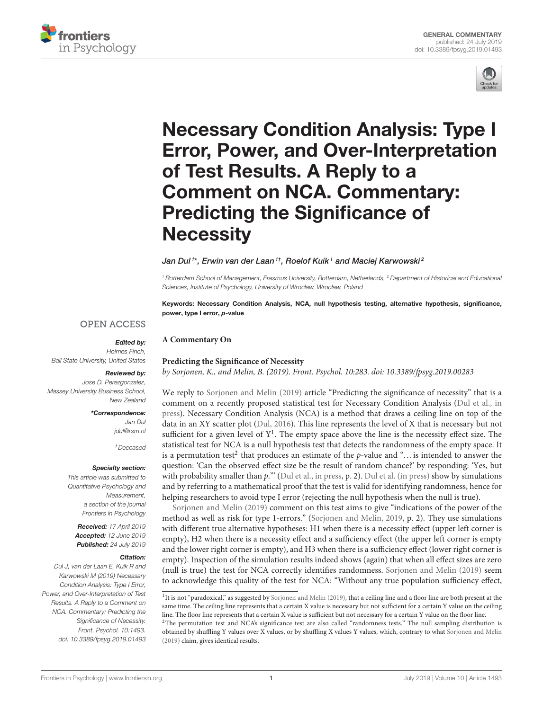



# Necessary Condition Analysis: Type I [Error, Power, and Over-Interpretation](https://www.frontiersin.org/articles/10.3389/fpsyg.2019.01493/full) of Test Results. A Reply to a Comment on NCA. Commentary: Predicting the Significance of **Necessity**

#### [Jan Dul](http://loop.frontiersin.org/people/712927/overview)1\*, Erwin van der Laan1†, Roelof Kuik1 and [Maciej Karwowski](http://loop.frontiersin.org/people/195268/overview) $^{\rm 2}$

*<sup>1</sup> Rotterdam School of Management, Erasmus University, Rotterdam, Netherlands, <sup>2</sup> Department of Historical and Educational Sciences, Institute of Psychology, University of Wrocław, Wrocław, Poland*

Keywords: Necessary Condition Analysis, NCA, null hypothesis testing, alternative hypothesis, significance, power, type I error, p-value

### **OPEN ACCESS**

#### Edited by:

*Holmes Finch, Ball State University, United States*

#### Reviewed by:

*Jose D. Perezgonzalez, Massey University Business School, New Zealand*

\*Correspondence:

*Jan Dul [jdul@rsm.nl](mailto:jdul@rsm.nl)*

*†Deceased*

#### Specialty section:

*This article was submitted to Quantitative Psychology and Measurement, a section of the journal Frontiers in Psychology*

Received: *17 April 2019* Accepted: *12 June 2019* Published: *24 July 2019*

#### Citation:

*Dul J, van der Laan E, Kuik R and Karwowski M (2019) Necessary Condition Analysis: Type I Error, Power, and Over-Interpretation of Test Results. A Reply to a Comment on NCA. Commentary: Predicting the Significance of Necessity. Front. Psychol. 10:1493. doi: [10.3389/fpsyg.2019.01493](https://doi.org/10.3389/fpsyg.2019.01493)*

# **A Commentary On**

#### **[Predicting the Significance of Necessity](https://doi.org/10.3389/fpsyg.2019.00283)**

by Sorjonen, K., and Melin, B. (2019). Front. Psychol. 10:283. doi: [10.3389/fpsyg.2019.00283](https://doi.org/10.3389/fpsyg.2019.00283)

We reply to [Sorjonen and Melin \(2019\)](#page-1-0) article "Predicting the significance of necessity" that is a comment on a recently proposed statistical test for Necessary Condition Analysis [\(Dul et al.,](#page-1-1) in press). Necessary Condition Analysis (NCA) is a method that draws a ceiling line on top of the data in an XY scatter plot [\(Dul, 2016\)](#page-1-2). This line represents the level of X that is necessary but not sufficient for a given level of  $Y^1$  $Y^1$ . The empty space above the line is the necessity effect size. The statistical test for NCA is a null hypothesis test that detects the randomness of the empty space. It is a permutation test<sup>[2](#page-0-1)</sup> that produces an estimate of the p-value and "... is intended to answer the question: 'Can the observed effect size be the result of random chance?' by responding: 'Yes, but with probability smaller than  $p$ ."' [\(Dul et al., in press,](#page-1-1)  $p$ . 2). [Dul et al. \(in press\)](#page-1-1) show by simulations and by referring to a mathematical proof that the test is valid for identifying randomness, hence for helping researchers to avoid type I error (rejecting the null hypothesis when the null is true).

[Sorjonen and Melin \(2019\)](#page-1-0) comment on this test aims to give "indications of the power of the method as well as risk for type 1-errors." [\(Sorjonen and Melin, 2019,](#page-1-0) p. 2). They use simulations with different true alternative hypotheses: H1 when there is a necessity effect (upper left corner is empty), H2 when there is a necessity effect and a sufficiency effect (the upper left corner is empty and the lower right corner is empty), and H3 when there is a sufficiency effect (lower right corner is empty). Inspection of the simulation results indeed shows (again) that when all effect sizes are zero (null is true) the test for NCA correctly identifies randomness. [Sorjonen and Melin \(2019\)](#page-1-0) seem to acknowledge this quality of the test for NCA: "Without any true population sufficiency effect,

<span id="page-0-1"></span>[\(2019\)](#page-1-0) claim, gives identical results.

<span id="page-0-0"></span><sup>&</sup>lt;sup>1</sup>It is not "paradoxical," as suggested by [Sorjonen and Melin \(2019\)](#page-1-0), that a ceiling line and a floor line are both present at the same time. The ceiling line represents that a certain X value is necessary but not sufficient for a certain Y value on the ceiling line. The floor line represents that a certain X value is sufficient but not necessary for a certain Y value on the floor line. <sup>2</sup>The permutation test and NCA's significance test are also called "randomness tests." The null sampling distribution is obtained by shuffling Y values over X values, or by shuffling X values Y values, which, contrary to what [Sorjonen and Melin](#page-1-0)